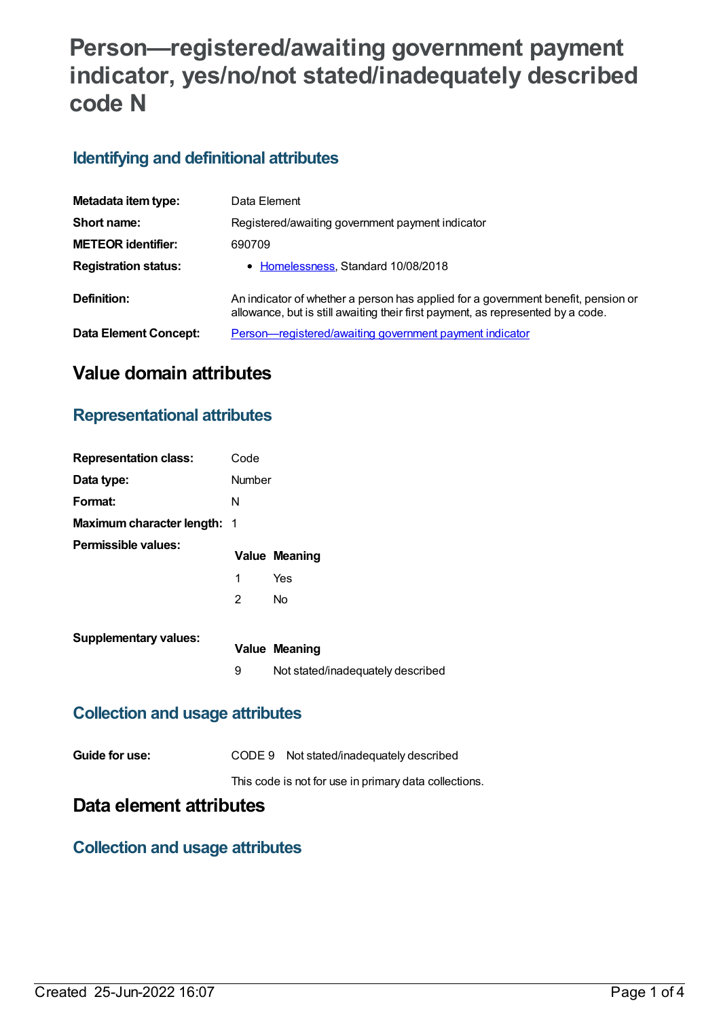# **Person—registered/awaiting government payment indicator, yes/no/not stated/inadequately described code N**

### **Identifying and definitional attributes**

| Metadata item type:         | Data Element                                                                                                                                                         |
|-----------------------------|----------------------------------------------------------------------------------------------------------------------------------------------------------------------|
| Short name:                 | Registered/awaiting government payment indicator                                                                                                                     |
| <b>METEOR identifier:</b>   | 690709                                                                                                                                                               |
| <b>Registration status:</b> | • Homelessness, Standard 10/08/2018                                                                                                                                  |
| Definition:                 | An indicator of whether a person has applied for a government benefit, pension or<br>allowance, but is still awaiting their first payment, as represented by a code. |
| Data Element Concept:       | Person—registered/awaiting government payment indicator                                                                                                              |

# **Value domain attributes**

#### **Representational attributes**

| <b>Representation class:</b>       | Code   |                                   |
|------------------------------------|--------|-----------------------------------|
| Data type:                         | Number |                                   |
| Format:                            | N      |                                   |
| <b>Maximum character length: 1</b> |        |                                   |
| Permissible values:                |        | <b>Value Meaning</b>              |
|                                    | 1      | Yes                               |
|                                    | 2      | No                                |
| <b>Supplementary values:</b>       |        |                                   |
|                                    |        | <b>Value Meaning</b>              |
|                                    | 9      | Not stated/inadequately described |

### **Collection and usage attributes**

| Guide for use: |  | CODE 9 Not stated/inadequately described |
|----------------|--|------------------------------------------|
|----------------|--|------------------------------------------|

This code is not for use in primary data collections.

# **Data element attributes**

#### **Collection and usage attributes**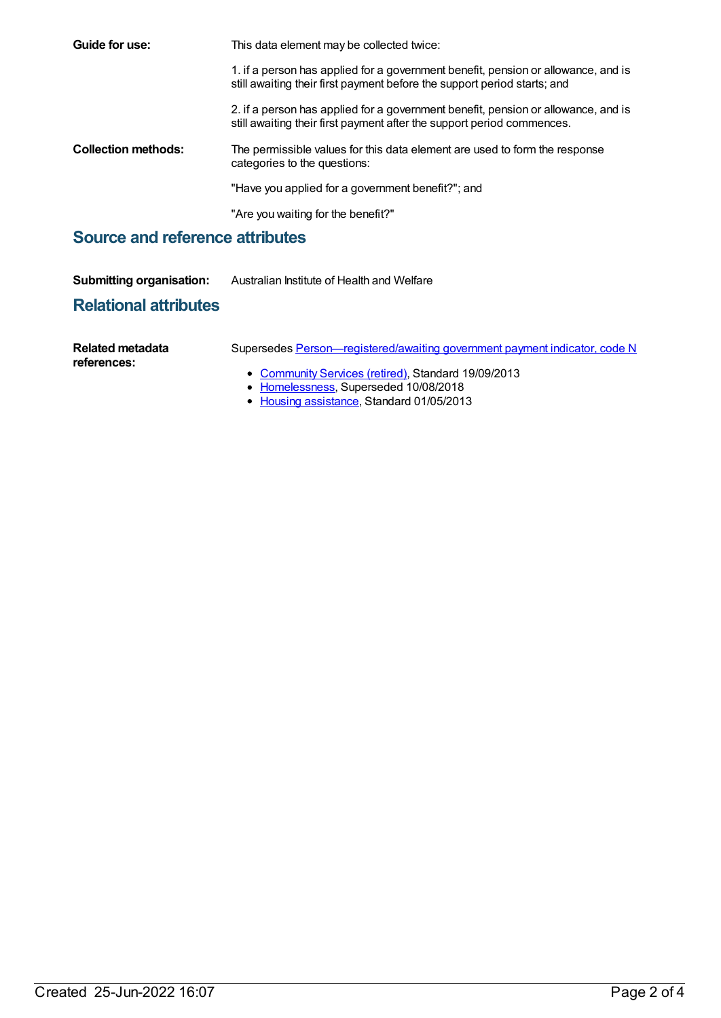| Guide for use:                  | This data element may be collected twice:                                                                                                                     |
|---------------------------------|---------------------------------------------------------------------------------------------------------------------------------------------------------------|
|                                 | 1. if a person has applied for a government benefit, pension or allowance, and is<br>still awaiting their first payment before the support period starts; and |
|                                 | 2. if a person has applied for a government benefit, pension or allowance, and is<br>still awaiting their first payment after the support period commences.   |
| <b>Collection methods:</b>      | The permissible values for this data element are used to form the response<br>categories to the questions:                                                    |
|                                 | "Have you applied for a government benefit?"; and                                                                                                             |
|                                 | "Are you waiting for the benefit?"                                                                                                                            |
| Source and reference attributes |                                                                                                                                                               |

#### **Source and reference attributes**

| <b>Submitting organisation:</b><br>Australian Institute of Health and Welfare |
|-------------------------------------------------------------------------------|
|-------------------------------------------------------------------------------|

# **Relational attributes**

| Related metadata<br>references: | Supersedes Person—registered/awaiting government payment indicator, code N                   |
|---------------------------------|----------------------------------------------------------------------------------------------|
|                                 | • Community Services (retired), Standard 19/09/2013<br>• Homelessness, Superseded 10/08/2018 |

Housing [assistance](https://meteor.aihw.gov.au/RegistrationAuthority/11), Standard 01/05/2013